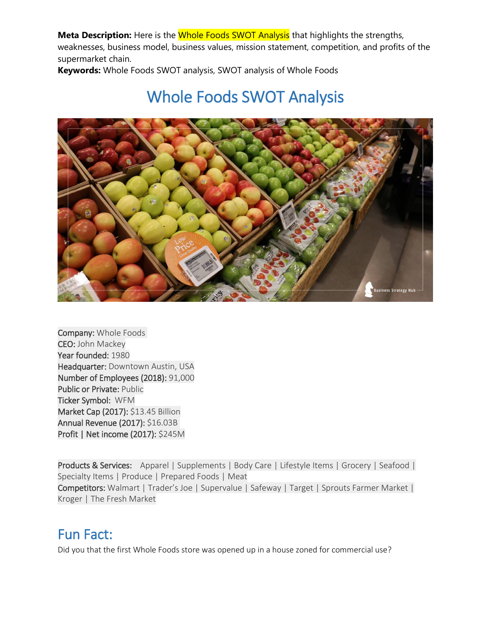**Keywords:** Whole Foods SWOT analysis, SWOT analysis of Whole Foods

# Whole Foods SWOT Analysis



Company: Whole Foods CEO: John Mackey Year founded: 1980 Headquarter: Downtown Austin, USA Number of Employees (2018): 91,000 Public or Private: Public Ticker Symbol: WFM Market Cap (2017): \$13.45 Billion Annual Revenue (2017): \$16.03B Profit | Net income (2017): \$245M

Products & Services: Apparel | Supplements | Body Care | Lifestyle Items | Grocery | Seafood | Specialty Items | Produce | Prepared Foods | Meat Competitors: Walmart | Trader's Joe | Supervalue | Safeway | Target | Sprouts Farmer Market | Kroger | The Fresh Market

### Fun Fact:

Did you that the first Whole Foods store was opened up in a house zoned for commercial use?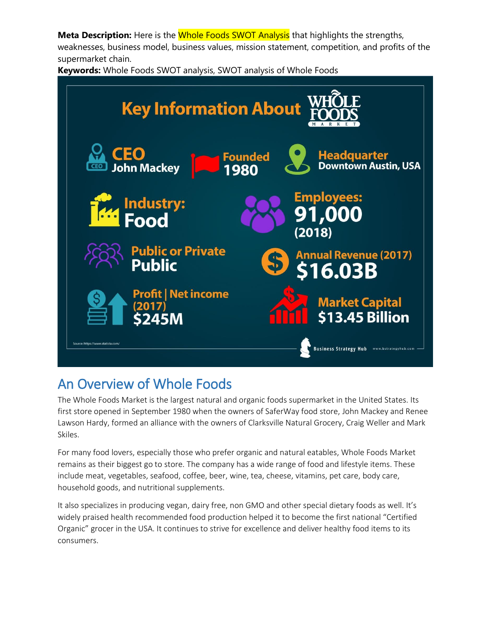**Keywords:** Whole Foods SWOT analysis, SWOT analysis of Whole Foods



## An Overview of Whole Foods

The Whole Foods Market is the largest natural and organic foods supermarket in the United States. Its first store opened in September 1980 when the owners of SaferWay food store, John Mackey and Renee Lawson Hardy, formed an alliance with the owners of Clarksville Natural Grocery, Craig Weller and Mark Skiles.

For many food lovers, especially those who prefer organic and natural eatables, Whole Foods Market remains as their biggest go to store. The company has a wide range of food and lifestyle items. These include meat, vegetables, seafood, coffee, beer, wine, tea, cheese, vitamins, pet care, body care, household goods, and nutritional supplements.

It also specializes in producing vegan, dairy free, non GMO and other special dietary foods as well. It's widely praised health recommended food production helped it to become the first national "Certified Organic" grocer in the USA. It continues to strive for excellence and deliver healthy food items to its consumers.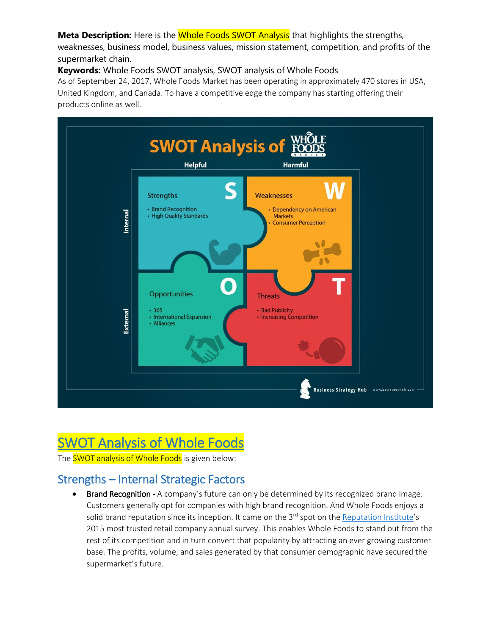#### **Meta Description:** Here is the **Whole Foods SWOT Analysis** that highlights the strengths,

weaknesses, business model, business values, mission statement, competition, and profits of the supermarket chain.

**Keywords:** Whole Foods SWOT analysis, SWOT analysis of Whole Foods

As of September 24, 2017, Whole Foods Market has been operating in approximately 470 stores in USA, United Kingdom, and Canada. To have a competitive edge the company has starting offering their products online as well.



# SWOT Analysis of Whole Foods

The **SWOT analysis of Whole Foods** is given below:

### Strengths – Internal Strategic Factors

Brand Recognition - A company's future can only be determined by its recognized brand image. Customers generally opt for companies with high brand recognition. And Whole Foods enjoys a solid brand reputation since its inception. It came on the 3<sup>rd</sup> spot on the <u>Reputation Institute</u>'s 2015 most trusted retail company annual survey. This enables Whole Foods to stand out from the rest of its competition and in turn convert that popularity by attracting an ever growing customer base. The profits, volume, and sales generated by that consumer demographic have secured the supermarket's future.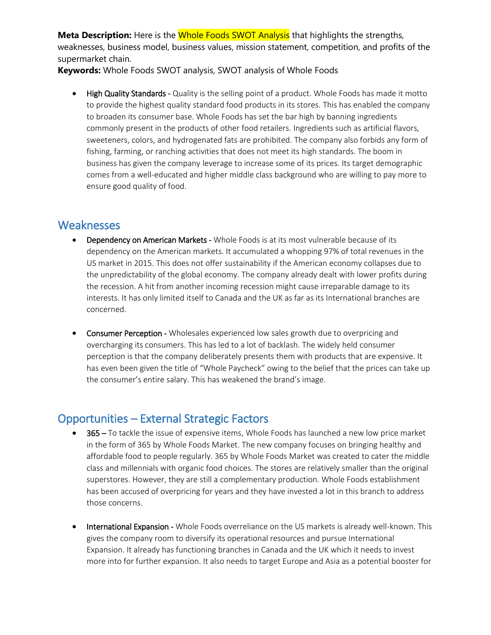**Keywords:** Whole Foods SWOT analysis, SWOT analysis of Whole Foods

• High Quality Standards - Quality is the selling point of a product. Whole Foods has made it motto to provide the highest quality standard food products in its stores. This has enabled the company to broaden its consumer base. Whole Foods has set the bar high by banning ingredients commonly present in the products of other food retailers. Ingredients such as artificial flavors, sweeteners, colors, and hydrogenated fats are prohibited. The company also forbids any form of fishing, farming, or ranching activities that does not meet its high standards. The boom in business has given the company leverage to increase some of its prices. Its target demographic comes from a well-educated and higher middle class background who are willing to pay more to ensure good quality of food.

#### **Weaknesses**

- Dependency on American Markets Whole Foods is at its most vulnerable because of its dependency on the American markets. It accumulated a whopping 97% of total revenues in the US market in 2015. This does not offer sustainability if the American economy collapses due to the unpredictability of the global economy. The company already dealt with lower profits during the recession. A hit from another incoming recession might cause irreparable damage to its interests. It has only limited itself to Canada and the UK as far as its International branches are concerned.
- Consumer Perception Wholesales experienced low sales growth due to overpricing and overcharging its consumers. This has led to a lot of backlash. The widely held consumer perception is that the company deliberately presents them with products that are expensive. It has even been given the title of "Whole Paycheck" owing to the belief that the prices can take up the consumer's entire salary. This has weakened the brand's image.

### Opportunities – External Strategic Factors

- 365 To tackle the issue of expensive items, Whole Foods has launched a new low price market in the form of 365 by Whole Foods Market. The new company focuses on bringing healthy and affordable food to people regularly. 365 by Whole Foods Market was created to cater the middle class and millennials with organic food choices. The stores are relatively smaller than the original superstores. However, they are still a complementary production. Whole Foods establishment has been accused of overpricing for years and they have invested a lot in this branch to address those concerns.
- International Expansion Whole Foods overreliance on the US markets is already well-known. This gives the company room to diversify its operational resources and pursue International Expansion. It already has functioning branches in Canada and the UK which it needs to invest more into for further expansion. It also needs to target Europe and Asia as a potential booster for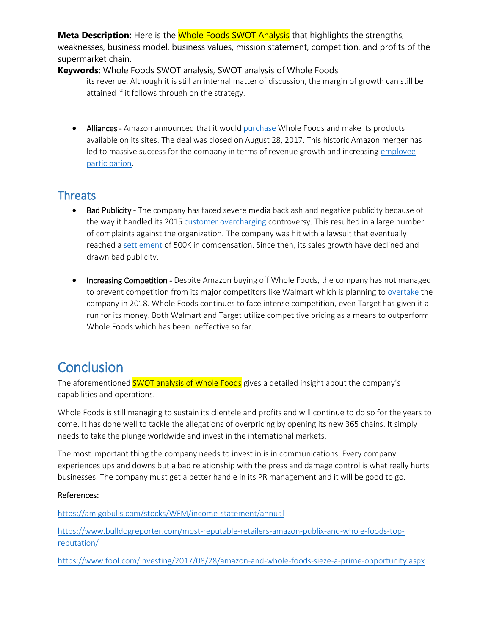#### **Keywords:** Whole Foods SWOT analysis, SWOT analysis of Whole Foods

its revenue. Although it is still an internal matter of discussion, the margin of growth can still be attained if it follows through on the strategy.

• Alliances - Amazon announced that it woul[d purchase](https://www.fool.com/investing/2017/08/28/amazon-and-whole-foods-sieze-a-prime-opportunity.aspx) Whole Foods and make its products available on its sites. The deal was closed on August 28, 2017. This historic Amazon merger has led to massive success for the company in terms of revenue growth and increasing [employee](https://www.fool.com/investing/2017/08/28/amazon-and-whole-foods-sieze-a-prime-opportunity.aspx)  [participation.](https://www.fool.com/investing/2017/08/28/amazon-and-whole-foods-sieze-a-prime-opportunity.aspx)

#### **Threats**

- Bad Publicity The company has faced severe media backlash and negative publicity because of the way it handled its 2015 [customer overcharging](https://www.washingtonpost.com/news/morning-mix/wp/2015/06/25/whole-foods-under-investigation-for-overcharging-in-nyc/?utm_term=.7c1d081b0923) controversy. This resulted in a large number of complaints against the organization. The company was hit with a lawsuit that eventually reached a [settlement](https://www.chicagotribune.com/business/ct-whole-foods-overcharging-nyc-customers-20151229-story.html) of 500K in compensation. Since then, its sales growth have declined and drawn bad publicity.
- Increasing Competition Despite Amazon buying off Whole Foods, the company has not managed to prevent competition from its major competitors like Walmart which is planning t[o overtake](https://www.grocerydive.com/news/report-walmart-could-overtake-amazon-in-online-grocery-this-year/539650/) the company in 2018. Whole Foods continues to face intense competition, even Target has given it a run for its money. Both Walmart and Target utilize competitive pricing as a means to outperform Whole Foods which has been ineffective so far.

## **Conclusion**

The aforementioned **SWOT analysis of Whole Foods** gives a detailed insight about the company's capabilities and operations.

Whole Foods is still managing to sustain its clientele and profits and will continue to do so for the years to come. It has done well to tackle the allegations of overpricing by opening its new 365 chains. It simply needs to take the plunge worldwide and invest in the international markets.

The most important thing the company needs to invest in is in communications. Every company experiences ups and downs but a bad relationship with the press and damage control is what really hurts businesses. The company must get a better handle in its PR management and it will be good to go.

#### References:

<https://amigobulls.com/stocks/WFM/income-statement/annual>

[https://www.bulldogreporter.com/most-reputable-retailers-amazon-publix-and-whole-foods-top](https://www.bulldogreporter.com/most-reputable-retailers-amazon-publix-and-whole-foods-top-reputation/)[reputation/](https://www.bulldogreporter.com/most-reputable-retailers-amazon-publix-and-whole-foods-top-reputation/)

<https://www.fool.com/investing/2017/08/28/amazon-and-whole-foods-sieze-a-prime-opportunity.aspx>